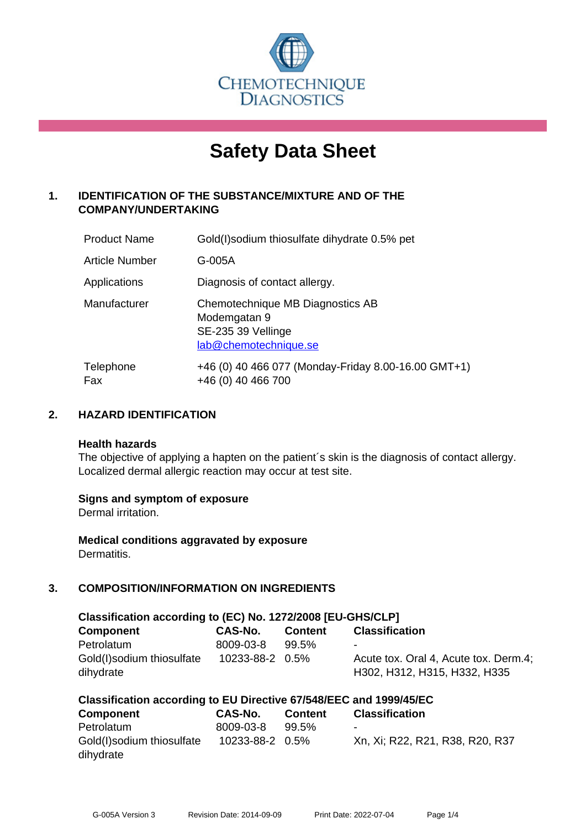

# **Safety Data Sheet**

# **1. IDENTIFICATION OF THE SUBSTANCE/MIXTURE AND OF THE COMPANY/UNDERTAKING**

| <b>Product Name</b>   | Gold(I) sodium thiosulfate dihydrate 0.5% pet                                                   |
|-----------------------|-------------------------------------------------------------------------------------------------|
| <b>Article Number</b> | G-005A                                                                                          |
| Applications          | Diagnosis of contact allergy.                                                                   |
| Manufacturer          | Chemotechnique MB Diagnostics AB<br>Modemgatan 9<br>SE-235 39 Vellinge<br>lab@chemotechnique.se |
| Telephone<br>Fax      | +46 (0) 40 466 077 (Monday-Friday 8.00-16.00 GMT+1)<br>+46 (0) 40 466 700                       |

## **2. HAZARD IDENTIFICATION**

#### **Health hazards**

The objective of applying a hapten on the patient's skin is the diagnosis of contact allergy. Localized dermal allergic reaction may occur at test site.

## **Signs and symptom of exposure**

Dermal irritation.

**Medical conditions aggravated by exposure** Dermatitis.

# **3. COMPOSITION/INFORMATION ON INGREDIENTS**

| Classification according to (EC) No. 1272/2008 [EU-GHS/CLP] |                 |                |                                                                       |  |  |
|-------------------------------------------------------------|-----------------|----------------|-----------------------------------------------------------------------|--|--|
| <b>Component</b>                                            | CAS-No.         | <b>Content</b> | <b>Classification</b>                                                 |  |  |
| Petrolatum                                                  | 8009-03-8       | 99.5%          | -                                                                     |  |  |
| Gold(I)sodium thiosulfate<br>dihydrate                      | 10233-88-2 0.5% |                | Acute tox. Oral 4, Acute tox. Derm.4;<br>H302, H312, H315, H332, H335 |  |  |

| Classification according to EU Directive 67/548/EEC and 1999/45/EC |                 |          |                                 |  |  |
|--------------------------------------------------------------------|-----------------|----------|---------------------------------|--|--|
| Component                                                          | CAS-No.         | Content  | <b>Classification</b>           |  |  |
| Petrolatum                                                         | 8009-03-8       | $99.5\%$ | $\overline{\phantom{a}}$        |  |  |
| Gold(I)sodium thiosulfate                                          | 10233-88-2 0.5% |          | Xn, Xi; R22, R21, R38, R20, R37 |  |  |
| dihydrate                                                          |                 |          |                                 |  |  |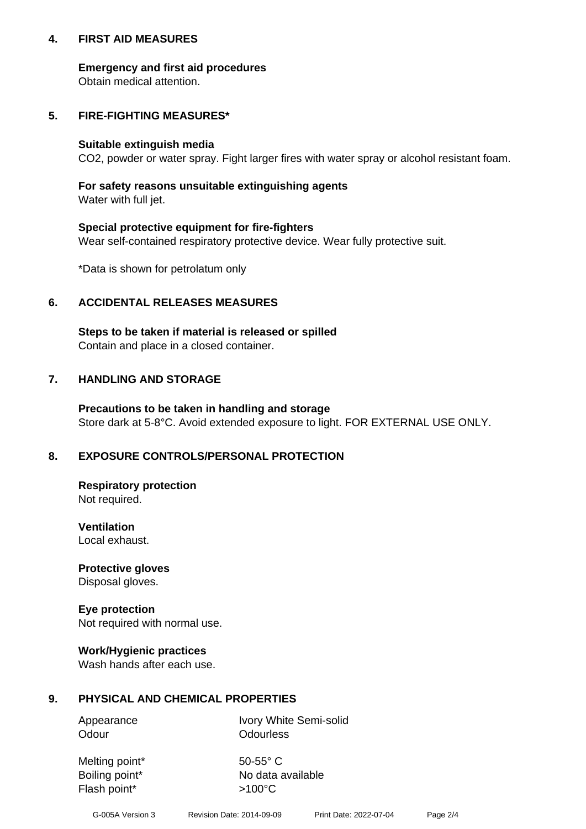## **4. FIRST AID MEASURES**

## **Emergency and first aid procedures**

Obtain medical attention.

# **5. FIRE-FIGHTING MEASURES\***

#### **Suitable extinguish media**

CO2, powder or water spray. Fight larger fires with water spray or alcohol resistant foam.

# **For safety reasons unsuitable extinguishing agents**

Water with full jet.

## **Special protective equipment for fire-fighters**

Wear self-contained respiratory protective device. Wear fully protective suit.

\*Data is shown for petrolatum only

## **6. ACCIDENTAL RELEASES MEASURES**

**Steps to be taken if material is released or spilled** Contain and place in a closed container.

# **7. HANDLING AND STORAGE**

**Precautions to be taken in handling and storage** Store dark at 5-8°C. Avoid extended exposure to light. FOR EXTERNAL USE ONLY.

# **8. EXPOSURE CONTROLS/PERSONAL PROTECTION**

**Respiratory protection** Not required.

**Ventilation** Local exhaust.

**Protective gloves** Disposal gloves.

#### **Eye protection** Not required with normal use.

## **Work/Hygienic practices**

Wash hands after each use.

## **9. PHYSICAL AND CHEMICAL PROPERTIES**

Odour **Odourless** 

Appearance Ivory White Semi-solid

Melting point\* 50-55° C Flash point\*  $>100^{\circ}$ C

Boiling point\* No data available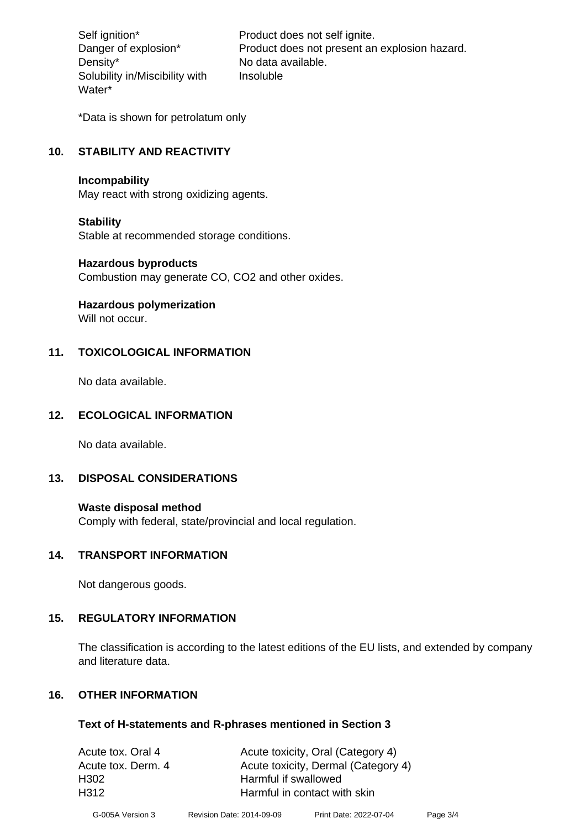Density\* No data available. Solubility in/Miscibility with Water\*

Self ignition\* Product does not self ignite. Danger of explosion\* Product does not present an explosion hazard. Insoluble

\*Data is shown for petrolatum only

# **10. STABILITY AND REACTIVITY**

#### **Incompability**

May react with strong oxidizing agents.

#### **Stability**

Stable at recommended storage conditions.

## **Hazardous byproducts**

Combustion may generate CO, CO2 and other oxides.

**Hazardous polymerization**

Will not occur.

## **11. TOXICOLOGICAL INFORMATION**

No data available.

## **12. ECOLOGICAL INFORMATION**

No data available.

## **13. DISPOSAL CONSIDERATIONS**

#### **Waste disposal method**

Comply with federal, state/provincial and local regulation.

#### **14. TRANSPORT INFORMATION**

Not dangerous goods.

## **15. REGULATORY INFORMATION**

The classification is according to the latest editions of the EU lists, and extended by company and literature data.

#### **16. OTHER INFORMATION**

#### **Text of H-statements and R-phrases mentioned in Section 3**

| Acute tox. Oral 4  | Acute toxicity, Oral (Category 4)   |
|--------------------|-------------------------------------|
| Acute tox. Derm. 4 | Acute toxicity, Dermal (Category 4) |
| H302               | Harmful if swallowed                |
| H312               | Harmful in contact with skin        |
|                    |                                     |